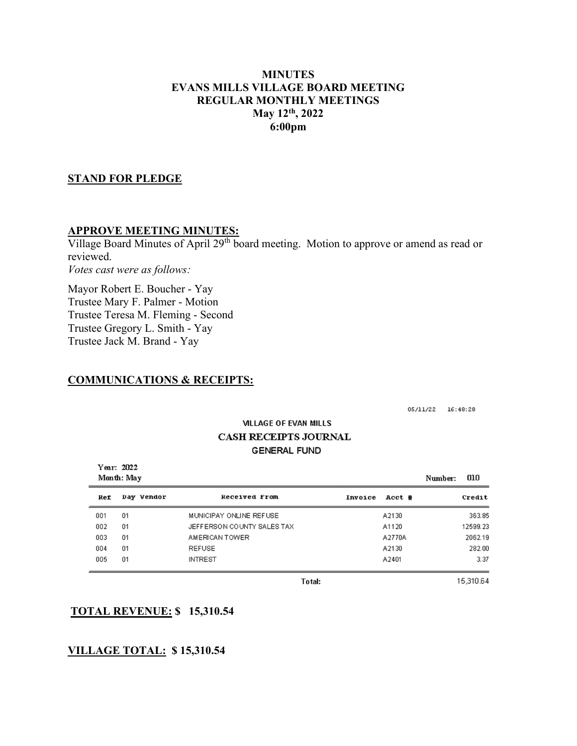# MINUTES EVANS MILLS VILLAGE BOARD MEETING REGULAR MONTHLY MEETINGS May 12th, 2022 6:00pm

# STAND FOR PLEDGE

#### APPROVE MEETING MINUTES:

Village Board Minutes of April 29<sup>th</sup> board meeting. Motion to approve or amend as read or reviewed. Votes cast were as follows:

Mayor Robert E. Boucher - Yay Trustee Mary F. Palmer - Motion Trustee Teresa M. Fleming - Second Trustee Gregory L. Smith - Yay Trustee Jack M. Brand - Yay

# COMMUNICATIONS & RECEIPTS:

05/11/22 16:48:28

# **VILLAGE OF EVAN MILLS CASH RECEIPTS JOURNAL GENERAL FUND**

| Year: 2022<br>Month: May |            |                            |                   | 010<br>Number: |
|--------------------------|------------|----------------------------|-------------------|----------------|
| Ref                      | Day Vendor | Received From              | Invoice<br>Acct # | Credit         |
| 001                      | 01         | MUNICIPAY ONLINE REFUSE    | A2130             | 363.85         |
| 002                      | 01         | JEFFERSON COUNTY SALES TAX | A1120             | 12599.23       |
| 003                      | 01         | AMERICAN TOWER             | A2770A            | 2062.19        |
| 004                      | 01         | <b>REFUSE</b>              | A2130             | 282.00         |
| 005                      | 01         | <b>INTREST</b>             | A2401             | 3.37           |

**Total:** 

15,310.64

# TOTAL REVENUE: \$ 15,310.54

# VILLAGE TOTAL: \$ 15,310.54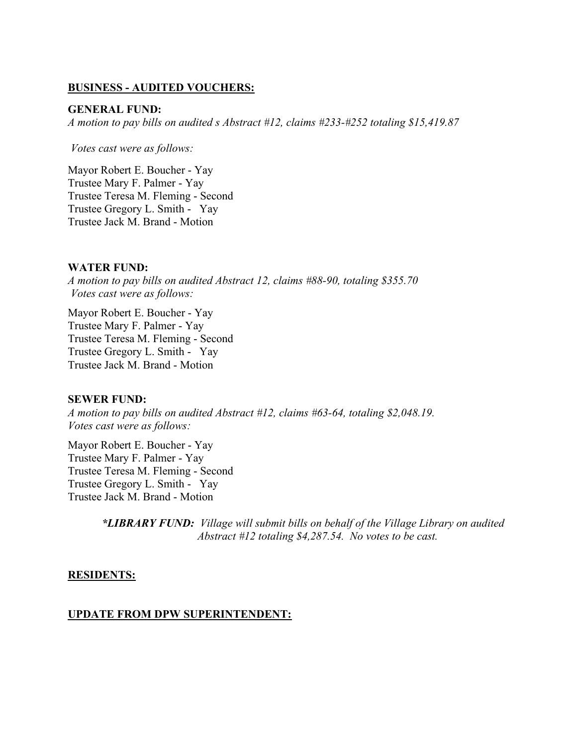# BUSINESS - AUDITED VOUCHERS:

#### GENERAL FUND:

A motion to pay bills on audited s Abstract #12, claims #233-#252 totaling \$15,419.87

Votes cast were as follows:

Mayor Robert E. Boucher - Yay Trustee Mary F. Palmer - Yay Trustee Teresa M. Fleming - Second Trustee Gregory L. Smith - Yay Trustee Jack M. Brand - Motion

#### WATER FUND:

A motion to pay bills on audited Abstract 12, claims #88-90, totaling \$355.70 Votes cast were as follows:

Mayor Robert E. Boucher - Yay Trustee Mary F. Palmer - Yay Trustee Teresa M. Fleming - Second Trustee Gregory L. Smith - Yay Trustee Jack M. Brand - Motion

#### SEWER FUND:

A motion to pay bills on audited Abstract #12, claims #63-64, totaling \$2,048.19. Votes cast were as follows:

Mayor Robert E. Boucher - Yay Trustee Mary F. Palmer - Yay Trustee Teresa M. Fleming - Second Trustee Gregory L. Smith - Yay Trustee Jack M. Brand - Motion

> \*LIBRARY FUND: Village will submit bills on behalf of the Village Library on audited Abstract #12 totaling \$4,287.54. No votes to be cast.

#### RESIDENTS:

#### UPDATE FROM DPW SUPERINTENDENT: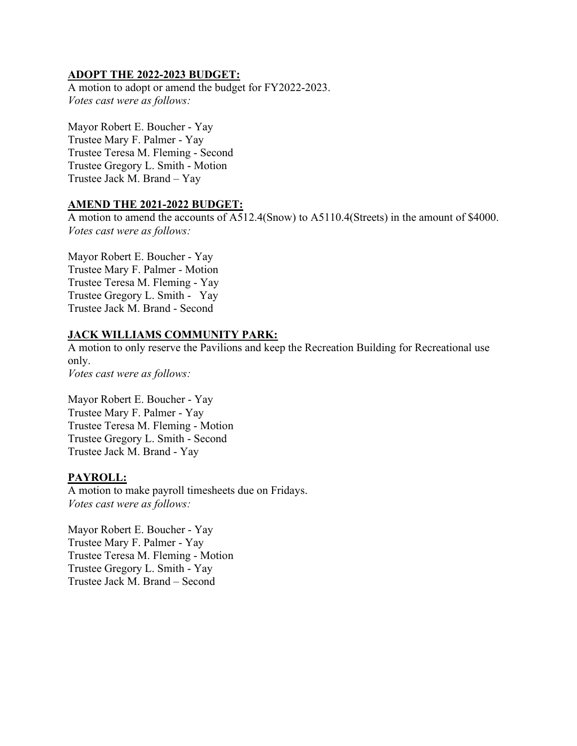# ADOPT THE 2022-2023 BUDGET:

A motion to adopt or amend the budget for FY2022-2023. Votes cast were as follows:

Mayor Robert E. Boucher - Yay Trustee Mary F. Palmer - Yay Trustee Teresa M. Fleming - Second Trustee Gregory L. Smith - Motion Trustee Jack M. Brand – Yay

# AMEND THE 2021-2022 BUDGET:

A motion to amend the accounts of A512.4(Snow) to A5110.4(Streets) in the amount of \$4000. Votes cast were as follows:

Mayor Robert E. Boucher - Yay Trustee Mary F. Palmer - Motion Trustee Teresa M. Fleming - Yay Trustee Gregory L. Smith - Yay Trustee Jack M. Brand - Second

# JACK WILLIAMS COMMUNITY PARK:

A motion to only reserve the Pavilions and keep the Recreation Building for Recreational use only. Votes cast were as follows:

Mayor Robert E. Boucher - Yay Trustee Mary F. Palmer - Yay Trustee Teresa M. Fleming - Motion Trustee Gregory L. Smith - Second Trustee Jack M. Brand - Yay

# PAYROLL:

A motion to make payroll timesheets due on Fridays. Votes cast were as follows:

Mayor Robert E. Boucher - Yay Trustee Mary F. Palmer - Yay Trustee Teresa M. Fleming - Motion Trustee Gregory L. Smith - Yay Trustee Jack M. Brand – Second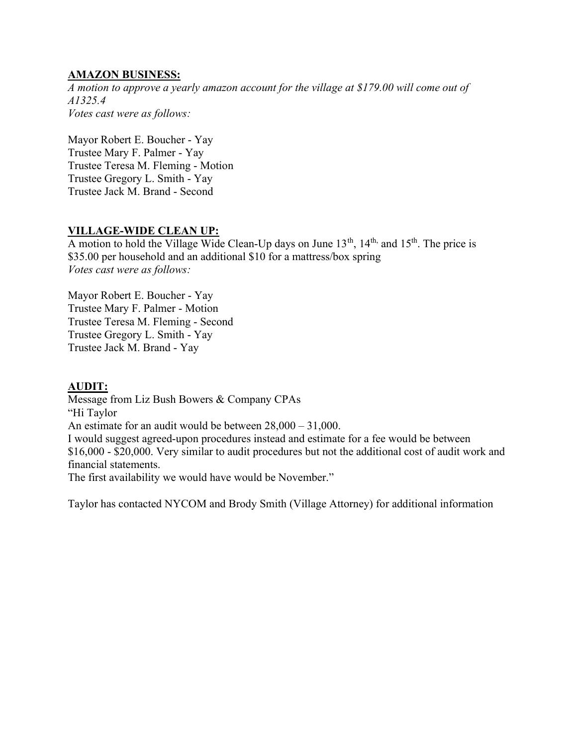# AMAZON BUSINESS:

A motion to approve a yearly amazon account for the village at \$179.00 will come out of A1325.4 Votes cast were as follows:

Mayor Robert E. Boucher - Yay Trustee Mary F. Palmer - Yay Trustee Teresa M. Fleming - Motion Trustee Gregory L. Smith - Yay Trustee Jack M. Brand - Second

# VILLAGE-WIDE CLEAN UP:

A motion to hold the Village Wide Clean-Up days on June  $13<sup>th</sup>$ ,  $14<sup>th</sup>$ , and  $15<sup>th</sup>$ . The price is \$35.00 per household and an additional \$10 for a mattress/box spring Votes cast were as follows:

Mayor Robert E. Boucher - Yay Trustee Mary F. Palmer - Motion Trustee Teresa M. Fleming - Second Trustee Gregory L. Smith - Yay Trustee Jack M. Brand - Yay

# AUDIT:

Message from Liz Bush Bowers & Company CPAs "Hi Taylor An estimate for an audit would be between 28,000 – 31,000. I would suggest agreed-upon procedures instead and estimate for a fee would be between \$16,000 - \$20,000. Very similar to audit procedures but not the additional cost of audit work and financial statements. The first availability we would have would be November."

Taylor has contacted NYCOM and Brody Smith (Village Attorney) for additional information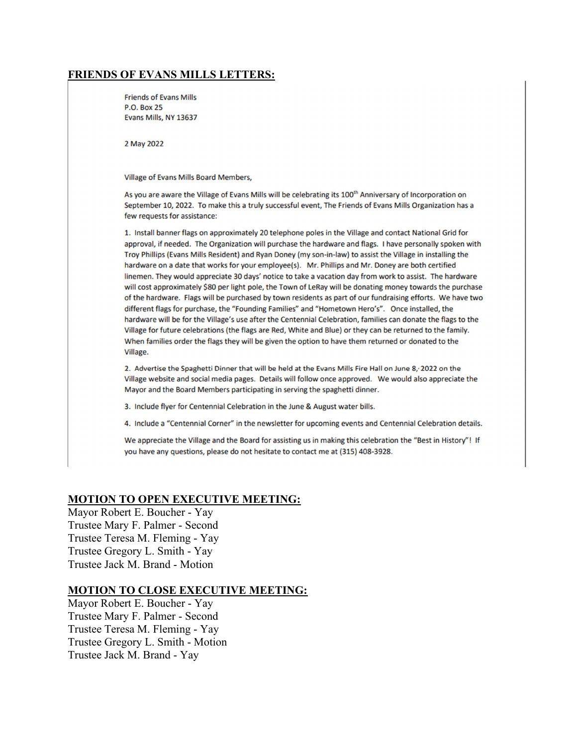# FRIENDS OF EVANS MILLS LETTERS:

**Friends of Evans Mills P.O. Box 25** Evans Mills, NY 13637

2 May 2022

Village of Evans Mills Board Members,

As you are aware the Village of Evans Mills will be celebrating its 100<sup>th</sup> Anniversary of Incorporation on September 10, 2022. To make this a truly successful event, The Friends of Evans Mills Organization has a few requests for assistance:

1. Install banner flags on approximately 20 telephone poles in the Village and contact National Grid for approval, if needed. The Organization will purchase the hardware and flags. I have personally spoken with Troy Phillips (Evans Mills Resident) and Ryan Doney (my son-in-law) to assist the Village in installing the hardware on a date that works for your employee(s). Mr. Phillips and Mr. Doney are both certified linemen. They would appreciate 30 days' notice to take a vacation day from work to assist. The hardware will cost approximately \$80 per light pole, the Town of LeRay will be donating money towards the purchase of the hardware. Flags will be purchased by town residents as part of our fundraising efforts. We have two different flags for purchase, the "Founding Families" and "Hometown Hero's". Once installed, the hardware will be for the Village's use after the Centennial Celebration, families can donate the flags to the Village for future celebrations (the flags are Red, White and Blue) or they can be returned to the family. When families order the flags they will be given the option to have them returned or donated to the Village.

2. Advertise the Spaghetti Dinner that will be held at the Evans Mills Fire Hall on June 8, 2022 on the Village website and social media pages. Details will follow once approved. We would also appreciate the Mayor and the Board Members participating in serving the spaghetti dinner.

3. Include flyer for Centennial Celebration in the June & August water bills.

4. Include a "Centennial Corner" in the newsletter for upcoming events and Centennial Celebration details.

We appreciate the Village and the Board for assisting us in making this celebration the "Best in History"! If you have any questions, please do not hesitate to contact me at (315) 408-3928.

# MOTION TO OPEN EXECUTIVE MEETING:

Mayor Robert E. Boucher - Yay Trustee Mary F. Palmer - Second Trustee Teresa M. Fleming - Yay Trustee Gregory L. Smith - Yay Trustee Jack M. Brand - Motion

#### MOTION TO CLOSE EXECUTIVE MEETING:

Mayor Robert E. Boucher - Yay Trustee Mary F. Palmer - Second Trustee Teresa M. Fleming - Yay Trustee Gregory L. Smith - Motion Trustee Jack M. Brand - Yay